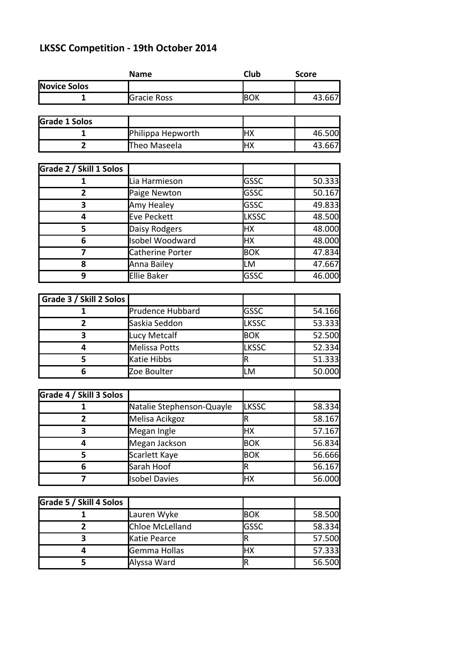## **LKSSC Competition - 19th October 2014**

|                         | <b>Name</b>               | Club         | <b>Score</b> |
|-------------------------|---------------------------|--------------|--------------|
| <b>Novice Solos</b>     |                           |              |              |
| 1                       | Gracie Ross               | <b>BOK</b>   | 43.667       |
|                         |                           |              |              |
| <b>Grade 1 Solos</b>    |                           |              |              |
| 1                       | Philippa Hepworth         | HX           | 46.500       |
| $\overline{2}$          | Theo Maseela              | <b>HX</b>    | 43.667       |
|                         |                           |              |              |
| Grade 2 / Skill 1 Solos |                           |              |              |
| 1                       | Lia Harmieson             | GSSC         | 50.333       |
| $\overline{2}$          | Paige Newton              | GSSC         | 50.167       |
| 3                       | Amy Healey                | GSSC         | 49.833       |
| 4                       | Eve Peckett               | <b>LKSSC</b> | 48.500       |
| 5                       | Daisy Rodgers             | HX           | 48.000       |
| 6                       | <b>Isobel Woodward</b>    | HX           | 48.000       |
| 7                       | Catherine Porter          | <b>BOK</b>   | 47.834       |
| 8                       | Anna Bailey               | LM           | 47.667       |
| 9                       | <b>Ellie Baker</b>        | GSSC         | 46.000       |
|                         |                           |              |              |
| Grade 3 / Skill 2 Solos |                           |              |              |
| 1                       | <b>Prudence Hubbard</b>   | GSSC         | 54.166       |
| 2                       | Saskia Seddon             | <b>LKSSC</b> | 53.333       |
| 3                       | Lucy Metcalf              | <b>BOK</b>   | 52.500       |
| 4                       | Melissa Potts             | <b>LKSSC</b> | 52.334       |
| 5                       | Katie Hibbs               | R            | 51.333       |
| 6                       | Zoe Boulter               | LM           | 50.000       |
|                         |                           |              |              |
| Grade 4 / Skill 3 Solos |                           |              |              |
| 1                       | Natalie Stephenson-Quayle | <b>LKSSC</b> | 58.334       |
| 2                       | Melisa Acikgoz            | R            | 58.167       |
| 3                       | Megan Ingle               | HX           | 57.167       |
| 4                       | Megan Jackson             | <b>BOK</b>   | 56.834       |
| 5                       | Scarlett Kaye             | <b>BOK</b>   | 56.666       |
| 6                       | Sarah Hoof                | R            | 56.167       |
| $\overline{\mathbf{z}}$ | <b>Isobel Davies</b>      | HX           | 56.000       |
|                         |                           |              |              |
| Grade 5 / Skill 4 Solos |                           |              |              |
| 1                       | Lauren Wyke               | <b>BOK</b>   | 58.500       |
| $\overline{2}$          | Chloe McLelland           | GSSC         | 58.334       |
| 3                       | Katie Pearce              | R            | 57.500       |
| 4                       | Gemma Hollas              | HX           | 57.333       |
| 5                       | Alyssa Ward               | R            | 56.500       |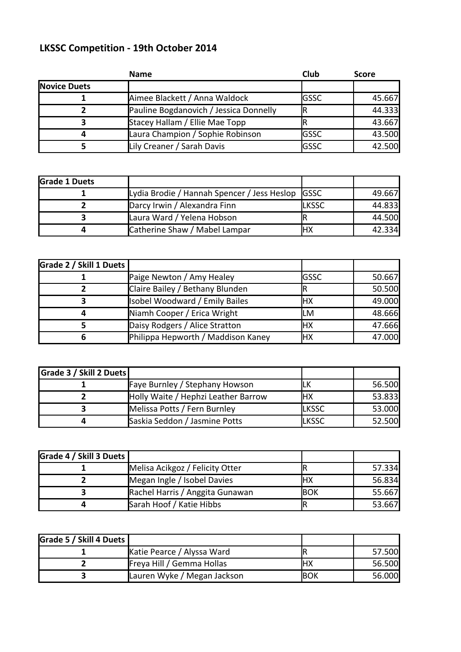## **LKSSC Competition - 19th October 2014**

|                     | <b>Name</b>                            | Club          | <b>Score</b> |
|---------------------|----------------------------------------|---------------|--------------|
| <b>Novice Duets</b> |                                        |               |              |
|                     | Aimee Blackett / Anna Waldock          | <b>I</b> GSSC | 45.667       |
|                     | Pauline Bogdanovich / Jessica Donnelly |               | 44.333       |
|                     | Stacey Hallam / Ellie Mae Topp         |               | 43.667       |
|                     | Laura Champion / Sophie Robinson       | <b>I</b> GSSC | 43.500       |
|                     | Lily Creaner / Sarah Davis             | <b>GSSC</b>   | 42.500       |

| <b>Grade 1 Duets</b> |                                                  |              |        |
|----------------------|--------------------------------------------------|--------------|--------|
|                      | Lydia Brodie / Hannah Spencer / Jess Heslop GSSC |              | 49.667 |
|                      | Darcy Irwin / Alexandra Finn                     | <b>LKSSC</b> | 44.833 |
|                      | Laura Ward / Yelena Hobson                       |              | 44.500 |
|                      | Catherine Shaw / Mabel Lampar                    | HХ           | 42.334 |

| Grade 2 / Skill 1 Duets |                                       |             |        |
|-------------------------|---------------------------------------|-------------|--------|
|                         | Paige Newton / Amy Healey             | <b>GSSC</b> | 50.667 |
|                         | Claire Bailey / Bethany Blunden       |             | 50.500 |
|                         | <b>Isobel Woodward / Emily Bailes</b> | HХ          | 49.000 |
|                         | Niamh Cooper / Erica Wright           | LM          | 48.666 |
|                         | Daisy Rodgers / Alice Stratton        | IНX         | 47.666 |
|                         | Philippa Hepworth / Maddison Kaney    | HХ          | 47.000 |

| Grade 3 / Skill 2 Duets |                                     |              |        |
|-------------------------|-------------------------------------|--------------|--------|
|                         | Faye Burnley / Stephany Howson      |              | 56.500 |
|                         | Holly Waite / Hephzi Leather Barrow | IHX          | 53.833 |
|                         | Melissa Potts / Fern Burnley        | <b>LKSSC</b> | 53.000 |
|                         | Saskia Seddon / Jasmine Potts       | <b>LKSSC</b> | 52.500 |

| Grade 4 / Skill 3 Duets l |                                 |      |        |
|---------------------------|---------------------------------|------|--------|
|                           | Melisa Acikgoz / Felicity Otter |      | 57.334 |
|                           | Megan Ingle / Isobel Davies     | нх   | 56.834 |
|                           | Rachel Harris / Anggita Gunawan | Івок | 55.667 |
|                           | Sarah Hoof / Katie Hibbs        |      | 53.667 |

| Grade 5 / Skill 4 Duets |                                  |      |        |
|-------------------------|----------------------------------|------|--------|
|                         | Katie Pearce / Alyssa Ward       |      | 57.500 |
|                         | <b>Freya Hill / Gemma Hollas</b> | IНX  | 56.500 |
|                         | Lauren Wyke / Megan Jackson      | lbok | 56.000 |